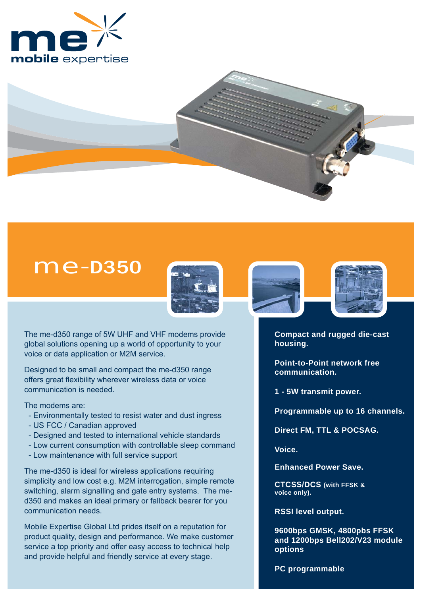



# me-D350



The me-d350 range of 5W UHF and VHF modems provide global solutions opening up a world of opportunity to your voice or data application or M2M service.

Designed to be small and compact the me-d350 range offers great flexibility wherever wireless data or voice communication is needed.

The modems are:

- Environmentally tested to resist water and dust ingress
- US FCC / Canadian approved
- Designed and tested to international vehicle standards
- Low current consumption with controllable sleep command
- Low maintenance with full service support

The me-d350 is ideal for wireless applications requiring simplicity and low cost e.g. M2M interrogation, simple remote switching, alarm signalling and gate entry systems. The med350 and makes an ideal primary or fallback bearer for you communication needs.

Mobile Expertise Global Ltd prides itself on a reputation for product quality, design and performance. We make customer service a top priority and offer easy access to technical help and provide helpful and friendly service at every stage.





**Compact and rugged die-cast housing.**

**Point-to-Point network free communication.**

**1 - 5W transmit power.**

**Programmable up to 16 channels.** 

**Direct FM, TTL & POCSAG.** 

**Voice.**

**Enhanced Power Save.**

**CTCSS/DCS (with FFSK & voice only).**

**RSSI level output.**

**9600bps GMSK, 4800pbs FFSK and 1200bps Bell202/V23 module options**

**PC programmable**